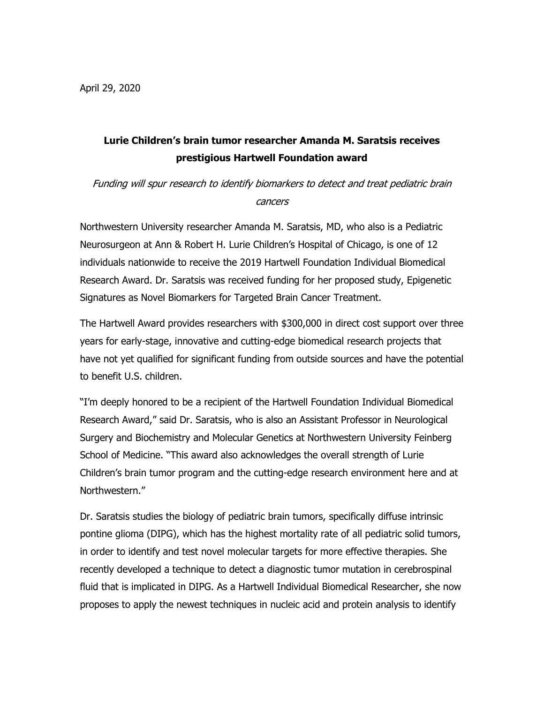## **Lurie Children's brain tumor researcher Amanda M. Saratsis receives prestigious Hartwell Foundation award**

Funding will spur research to identify biomarkers to detect and treat pediatric brain cancers

Northwestern University researcher Amanda M. Saratsis, MD, who also is a Pediatric Neurosurgeon at Ann & Robert H. Lurie Children's Hospital of Chicago, is one of 12 individuals nationwide to receive the 2019 Hartwell Foundation Individual Biomedical Research Award. Dr. Saratsis was received funding for her proposed study, Epigenetic Signatures as Novel Biomarkers for Targeted Brain Cancer Treatment.

The Hartwell Award provides researchers with \$300,000 in direct cost support over three years for early-stage, innovative and cutting-edge biomedical research projects that have not yet qualified for significant funding from outside sources and have the potential to benefit U.S. children.

"I'm deeply honored to be a recipient of the Hartwell Foundation Individual Biomedical Research Award," said Dr. Saratsis, who is also an Assistant Professor in Neurological Surgery and Biochemistry and Molecular Genetics at Northwestern University Feinberg School of Medicine. "This award also acknowledges the overall strength of Lurie Children's brain tumor program and the cutting-edge research environment here and at Northwestern."

Dr. Saratsis studies the biology of pediatric brain tumors, specifically diffuse intrinsic pontine glioma (DIPG), which has the highest mortality rate of all pediatric solid tumors, in order to identify and test novel molecular targets for more effective therapies. She recently developed a technique to detect a diagnostic tumor mutation in cerebrospinal fluid that is implicated in DIPG. As a Hartwell Individual Biomedical Researcher, she now proposes to apply the newest techniques in nucleic acid and protein analysis to identify